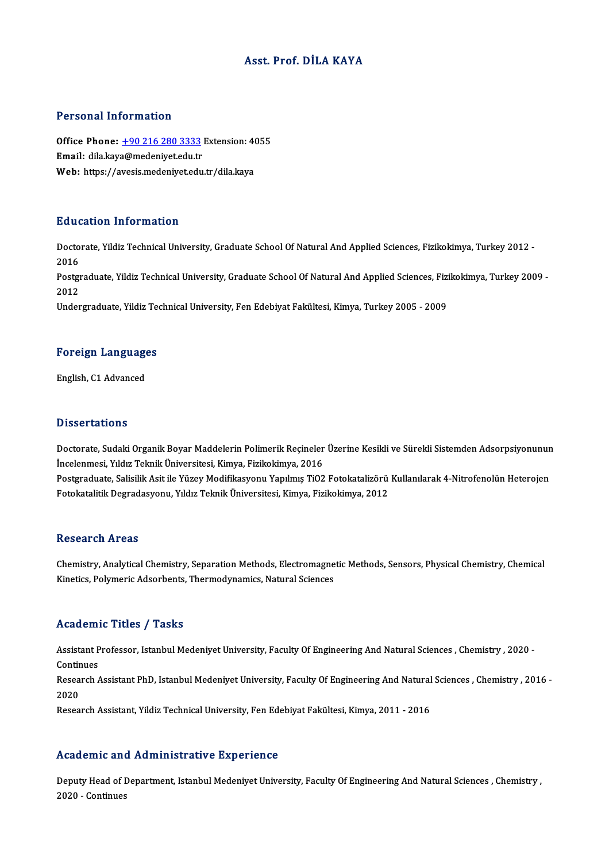## Asst. Prof. DİLA KAYA

### Personal Information

Personal Information<br>Office Phone: <u>+90 216 280 3333</u> Extension: 4055<br>Email: dila kava@modenivet.edu.tr Processian and carrier and the Michael<br>Office Phone: <u>+90 216 280 3333</u><br>Email: dila.kay[a@medeniyet.edu.tr](tel:+90 216 280 3333) Office Phone: <u>+90 216 280 3333</u> Extension: 4(<br>Email: dila.kaya@medeniyet.edu.tr<br>Web: https://avesis.medeniyet.edu.tr/dila.kaya Web: https://avesis.medeniyet.edu.tr/dila.kaya<br>Education Information

**Education Information**<br>Doctorate, Yildiz Technical University, Graduate School Of Natural And Applied Sciences, Fizikokimya, Turkey 2012 -<br>2016 Bata<br>Docto<br>2016 Doctorate, Yildiz Technical University, Graduate School Of Natural And Applied Sciences, Fizikokimya, Turkey 2012 -<br>2016<br>Postgraduate, Yildiz Technical University, Graduate School Of Natural And Applied Sciences, Fizikokim 2016<br>Postgi<br>2012<br>Under Postgraduate, Yildiz Technical University, Graduate School Of Natural And Applied Sciences, Fizi<br>2012<br>Undergraduate, Yildiz Technical University, Fen Edebiyat Fakültesi, Kimya, Turkey 2005 - 2009

## <sub>Undergraduate, riidiz Ter<br>Foreign Languages</sub> F<mark>oreign Languag</mark>e<br>English, C1 Advanced

English, C1 Advanced<br>Dissertations

Dissertations<br>Doctorate, Sudaki Organik Boyar Maddelerin Polimerik Reçineler Üzerine Kesikli ve Sürekli Sistemden Adsorpsiyonunun<br>İncelenmesi, Yıldız Telmik Üniversitesi, Kimya, Firikokimya, 2016 Bisson tatrome<br>Doctorate, Sudaki Organik Boyar Maddelerin Polimerik Reçineler<br>İncelenmesi, Yıldız Teknik Üniversitesi, Kimya, Fizikokimya, 2016<br>Bostanaduate, Salisilik Asit ile Vürev Madifikasyonu Yanılmış TiO? Doctorate, Sudaki Organik Boyar Maddelerin Polimerik Reçineler Üzerine Kesikli ve Sürekli Sistemden Adsorpsiyonunun<br>İncelenmesi, Yıldız Teknik Üniversitesi, Kimya, Fizikokimya, 2016<br>Postgraduate, Salisilik Asit ile Yüzey M

İncelenmesi, Yıldız Teknik Üniversitesi, Kimya, Fizikokimya, 2016<br>Postgraduate, Salisilik Asit ile Yüzey Modifikasyonu Yapılmış TiO2 Fotokatalizörü Kullanılarak 4-Nitrofenolün Heterojen<br>Fotokatalitik Degradasyonu, Yıldız T

### **Research Areas**

Chemistry, Analytical Chemistry, Separation Methods, Electromagnetic Methods, Sensors, Physical Chemistry, Chemical Kinetics, Polymeric Adsorbents, Thermodynamics, Natural Sciences

### Academic Titles / Tasks

Academic Titles / Tasks<br>Assistant Professor, Istanbul Medeniyet University, Faculty Of Engineering And Natural Sciences , Chemistry , 2020 -<br>Continues Assistant P<br>Continues<br>Pesearch Assistant Professor, Istanbul Medeniyet University, Faculty Of Engineering And Natural Sciences , Chemistry , 2020 -<br>Continues<br>Research Assistant PhD, Istanbul Medeniyet University, Faculty Of Engineering And Natural Scien

Contir<br>Resea<br>2020<br>Besea

2020<br>Research Assistant, Yildiz Technical University, Fen Edebiyat Fakültesi, Kimya, 2011 - 2016

### Academic and Administrative Experience

Academic and Administrative Experience<br>Deputy Head of Department, Istanbul Medeniyet University, Faculty Of Engineering And Natural Sciences , Chemistry ,<br>2020 - Continues 2020 -Continues<br>2020 - Continues<br>2020 - Continues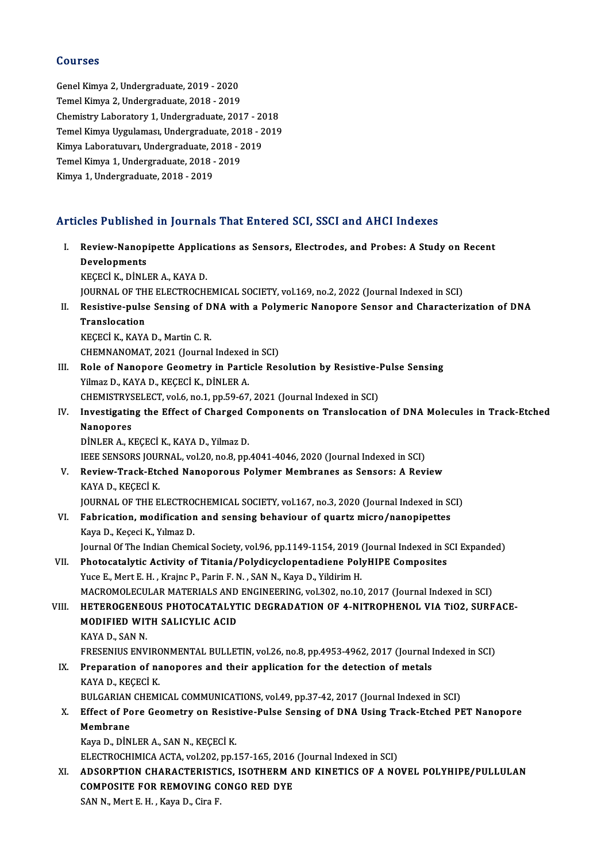### Courses

GenelKimya 2,Undergraduate,2019 -2020 Temel Kimya 2, Undergraduate, 2018 - 2019 Genel Kimya 2, Undergraduate, 2019 - 2020<br>Temel Kimya 2, Undergraduate, 2018 - 2019<br>Chemistry Laboratory 1, Undergraduate, 2017 - 2018<br>Temel Kimya Uygulaması, Undergraduate, 2018 - 2018 Temel Kimya 2, Undergraduate, 2018 - 2019<br>Chemistry Laboratory 1, Undergraduate, 2017 - 2018<br>Temel Kimya Uygulaması, Undergraduate, 2018 - 2019<br>Kimya Laboratyyarı, Undergraduate, 2019 - 2019 Chemistry Laboratory 1, Undergraduate, 2017 - 20<br>Temel Kimya Uygulaması, Undergraduate, 2018 - 2<br>Kimya Laboratuvarı, Undergraduate, 2018 - 2019<br>Temel Kimya 1, Undergraduate, 2018 - 2019 Temel Kimya Uygulaması, Undergraduate, 201<br>Kimya Laboratuvarı, Undergraduate, 2018 - 2<br>Temel Kimya 1, Undergraduate, 2018 - 2019<br>Kimya 1, Undergraduate, 2018 - 2019 Kimya Laboratuvarı, Undergraduate, 2018 - 2019<br>Temel Kimya 1, Undergraduate, 2018 - 2019<br>Kimya 1, Undergraduate, 2018 - 2019

# Kimya 1, Undergraduate, 2018 - 2019<br>Articles Published in Journals That Entered SCI, SSCI and AHCI Indexes

|       | Articles Published in Journals That Entered SCI, SSCI and AHCI Indexes                                                                                                  |
|-------|-------------------------------------------------------------------------------------------------------------------------------------------------------------------------|
| Ι.    | Review-Nanopipette Applications as Sensors, Electrodes, and Probes: A Study on Recent<br>Developments                                                                   |
|       | KEÇECİ K., DİNLER A., KAYA D.                                                                                                                                           |
|       | JOURNAL OF THE ELECTROCHEMICAL SOCIETY, vol.169, no.2, 2022 (Journal Indexed in SCI)                                                                                    |
| Н.    | Resistive-pulse Sensing of DNA with a Polymeric Nanopore Sensor and Characterization of DNA                                                                             |
|       | Translocation                                                                                                                                                           |
|       | KECECİ K., KAYA D., Martin C. R.                                                                                                                                        |
|       | CHEMNANOMAT, 2021 (Journal Indexed in SCI)                                                                                                                              |
| III.  | Role of Nanopore Geometry in Particle Resolution by Resistive-Pulse Sensing                                                                                             |
|       | Yilmaz D., KAYA D., KEÇECİ K., DİNLER A.                                                                                                                                |
|       | CHEMISTRYSELECT, vol.6, no.1, pp.59-67, 2021 (Journal Indexed in SCI)                                                                                                   |
| IV.   | Investigating the Effect of Charged Components on Translocation of DNA Molecules in Track-Etched                                                                        |
|       | <b>Nanopores</b>                                                                                                                                                        |
|       | DİNLER A., KEÇECİ K., KAYA D., Yilmaz D.                                                                                                                                |
|       | IEEE SENSORS JOURNAL, vol.20, no.8, pp.4041-4046, 2020 (Journal Indexed in SCI)                                                                                         |
| V.    | Review-Track-Etched Nanoporous Polymer Membranes as Sensors: A Review                                                                                                   |
|       | KAYA D., KEÇECİ K.                                                                                                                                                      |
|       | JOURNAL OF THE ELECTROCHEMICAL SOCIETY, vol.167, no.3, 2020 (Journal Indexed in SCI)                                                                                    |
| VI.   | Fabrication, modification and sensing behaviour of quartz micro/nanopipettes                                                                                            |
|       | Kaya D., Keçeci K., Yılmaz D.                                                                                                                                           |
|       | Journal Of The Indian Chemical Society, vol.96, pp.1149-1154, 2019 (Journal Indexed in SCI Expanded)                                                                    |
| VII.  | Photocatalytic Activity of Titania/Polydicyclopentadiene PolyHIPE Composites                                                                                            |
|       | Yuce E., Mert E. H., Krajnc P., Parin F. N., SAN N., Kaya D., Yildirim H.                                                                                               |
|       | MACROMOLECULAR MATERIALS AND ENGINEERING, vol.302, no.10, 2017 (Journal Indexed in SCI)<br>HETEROGENEOUS PHOTOCATALYTIC DEGRADATION OF 4-NITROPHENOL VIA TIO2, SURFACE- |
| VIII. | MODIFIED WITH SALICYLIC ACID                                                                                                                                            |
|       | KAYA D., SAN N.                                                                                                                                                         |
|       | FRESENIUS ENVIRONMENTAL BULLETIN, vol.26, no.8, pp.4953-4962, 2017 (Journal Indexed in SCI)                                                                             |
|       | IX. Preparation of nanopores and their application for the detection of metals                                                                                          |
|       | KAYA D., KEÇECİ K.                                                                                                                                                      |
|       | BULGARIAN CHEMICAL COMMUNICATIONS, vol.49, pp.37-42, 2017 (Journal Indexed in SCI)                                                                                      |
| X.    | Effect of Pore Geometry on Resistive-Pulse Sensing of DNA Using Track-Etched PET Nanopore                                                                               |
|       | Membrane                                                                                                                                                                |
|       | Kaya D., DİNLER A., SAN N., KEÇECİ K.                                                                                                                                   |
|       | ELECTROCHIMICA ACTA, vol.202, pp.157-165, 2016 (Journal Indexed in SCI)                                                                                                 |
| XI.   | ADSORPTION CHARACTERISTICS, ISOTHERM AND KINETICS OF A NOVEL POLYHIPE/PULLULAN                                                                                          |
|       | <b>COMPOSITE FOR REMOVING CONGO RED DYE</b>                                                                                                                             |
|       | SAN N, Mert E.H., Kaya D., Cira F.                                                                                                                                      |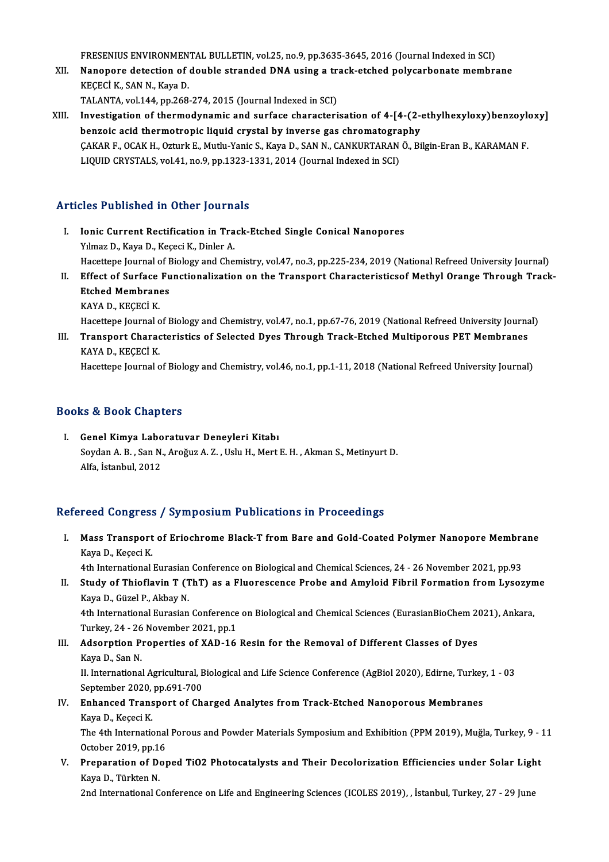FRESENIUS ENVIRONMENTAL BULLETIN, vol.25, no.9, pp.3635-3645, 2016 (Journal Indexed in SCI)<br>Nanonore detection of double stranded DNA using a treek stebed polygerbonate membre

FRESENIUS ENVIRONMENTAL BULLETIN, vol.25, no.9, pp.3635-3645, 2016 (Journal Indexed in SCI)<br>XII. Nanopore detection of double stranded DNA using a track-etched polycarbonate membrane FRESENIUS ENVIRONMEN<br>Nanopore detection of<br>KEÇECİ K., SAN N., Kaya D.<br>TALANTA vol 144 nn 268 Nanopore detection of double stranded DNA using a transport of the SCI of the SCI and SCI)<br>TALANTA, vol.144, pp.268-274, 2015 (Journal Indexed in SCI)<br>Investigation of thermedynamic and surface characteri

KEÇECİ K., SAN N., Kaya D.<br>TALANTA, vol.144, pp.268-274, 2015 (Journal Indexed in SCI)<br>XIII. Investigation of thermodynamic and surface characterisation of 4-[4-(2-ethylhexyloxy)benzoyloxy]<br>henzois asid thermotronis liquid TALANTA, vol.144, pp.268-274, 2015 (Journal Indexed in SCI)<br>Investigation of thermodynamic and surface characterisation of 4-[4-(2-4)<br>benzoic acid thermotropic liquid crystal by inverse gas chromatography<br>CAKAR E. OCAK H. Investigation of thermodynamic and surface characterisation of 4-[4-(2-ethylhexyloxy)benzoyle<br>benzoic acid thermotropic liquid crystal by inverse gas chromatography<br>ÇAKAR F., OCAK H., Ozturk E., Mutlu-Yanic S., Kaya D., SA benzoic acid thermotropic liquid crystal by inverse gas chromatogra<br>ÇAKAR F., OCAK H., Ozturk E., Mutlu-Yanic S., Kaya D., SAN N., CANKURTARAN<br>LIQUID CRYSTALS, vol.41, no.9, pp.1323-1331, 2014 (Journal Indexed in SCI) LIQUID CRYSTALS, vol.41, no.9, pp.1323-1331, 2014 (Journal Indexed in SCI)<br>Articles Published in Other Journals

- rticles Published in Other Journals<br>I. Ionic Current Rectification in Track-Etched Single Conical Nanopores<br>Vilmas D. Kava D. Kasasi K. Dinlan A Your Tubrished In Striet Journal<br>The Current Rectification in Tra<br>Yılmaz D., Kaya D., Keçeci K., Dinler A. Ionic Current Rectification in Track-Etched Single Conical Nanopores<br>Yılmaz D., Kaya D., Keçeci K., Dinler A.<br>Hacettepe Journal of Biology and Chemistry, vol.47, no.3, pp.225-234, 2019 (National Refreed University Journal) Yılmaz D., Kaya D., Keçeci K., Dinler A.<br>Hacettepe Journal of Biology and Chemistry, vol.47, no.3, pp.225-234, 2019 (National Refreed University Journal)<br>II. Effect of Surface Functionalization on the Transport Characteris
- Hacettepe Journal of <mark>E</mark><br>Effect of Surface Fu<br>Etched Membranes<br>KAVA D. KECEC<sup>T</sup> K Effect of Surface<br>Etched Membran<br>KAYA D., KEÇECİ K.<br>Hasattana Jaumal a Etched Membranes<br>KAYA D., KEÇECİ K.<br>Hacettepe Journal of Biology and Chemistry, vol.47, no.1, pp.67-76, 2019 (National Refreed University Journal)

KAYA D., KEÇECİ K.<br>Hacettepe Journal of Biology and Chemistry, vol.47, no.1, pp.67-76, 2019 (National Refreed University Journa<br>III. Transport Characteristics of Selected Dyes Through Track-Etched Multiporous PET Membr Hacettepe Journal o<br><mark>Transport Charac</mark><br>KAYA D., KEÇECİ K.<br>Hacettana Journal o Transport Characteristics of Selected Dyes Through Track-Etched Multiporous PET Membranes<br>KAYA D., KEÇECİ K.<br>Hacettepe Journal of Biology and Chemistry, vol.46, no.1, pp.1-11, 2018 (National Refreed University Journal)

Hacettepe Journal of Biology and Chemistry, vol.46, no.1, pp.1-11, 2018 (National Refreed University Journal)<br>Books & Book Chapters

ooks & Book Chapters<br>I. Genel Kimya Laboratuvar Deneyleri Kitabı<br>Sovdan A.B. San N. Arağuz A.Z. Helu H. Mert Soydan A. B. , San N., Aroğuz A. Z. , Uslu H., Mert E. H. , Akman S., Metinyurt D.<br>Alfa, İstanbul, 2012 Genel Kimya Labo<br>Soydan A. B. , San N.<br>Alfa, İstanbul, 2012

## Refereed Congress / Symposium Publications in Proceedings

efereed Congress / Symposium Publications in Proceedings<br>I. Mass Transport of Eriochrome Black-T from Bare and Gold-Coated Polymer Nanopore Membrane Kaya D., Keçeci K. Mass Transport of Eriochrome Black-T from Bare and Gold-Coated Polymer Nanopore Membra<br>Kaya D., Keçeci K.<br>4th International Eurasian Conference on Biological and Chemical Sciences, 24 - 26 November 2021, pp.93<br>Study of Thi

4th International Eurasian Conference on Biological and Chemical Sciences, 24 - 26 November 2021, pp.93

II. Study of Thioflavin T (ThT) as a Fluorescence Probe and Amyloid Fibril Formation from Lysozyme<br>Kaya D., Güzel P., Akbay N. Study of Thioflavin T (ThT) as a Fluorescence Probe and Amyloid Fibril Formation from Lysozyn<br>Kaya D., Güzel P., Akbay N.<br>4th International Eurasian Conference on Biological and Chemical Sciences (EurasianBioChem 2021), An

Kaya D., Güzel P., Akbay N.<br>4th International Eurasian Conference<br>Turkey, 24 - 26 November 2021, pp.1<br>Adeanntion Prenenties of YAD 16 4th International Eurasian Conference on Biological and Chemical Sciences (EurasianBioChem 20<br>Turkey, 24 - 26 November 2021, pp.1<br>III. Adsorption Properties of XAD-16 Resin for the Removal of Different Classes of Dyes<br>Kave

- Turkey, 24 26<br><mark>Adsorption P</mark><br>Kaya D., San N.<br>U. International Kaya D., San N.<br>II. International Agricultural, Biological and Life Science Conference (AgBiol 2020), Edirne, Turkey, 1 - 03 Kaya D., San N.<br>II. International Agricultural, B<br>September 2020, pp.691-700<br>Enhansed Transport of Ch
- IV. Enhanced Transport of Charged Analytes from Track-Etched Nanoporous Membranes<br>Kaya D., Keçeci K. September 2020,<br>Enhanced Trans<br>Kaya D., Keçeci K.<br>The 4th Internatie Enhanced Transport of Charged Analytes from Track-Etched Nanoporous Membranes<br>Kaya D., Keçeci K.<br>The 4th International Porous and Powder Materials Symposium and Exhibition (PPM 2019), Muğla, Turkey, 9 - 11<br>Ostabar 2010, nn

Kaya D., Keçeci K.<br>The 4th International<br>October 2019, pp.16<br>Preparation of Der The 4th International Porous and Powder Materials Symposium and Exhibition (PPM 2019), Muğla, Turkey, 9 - 1<br>October 2019, pp.16<br>V. Preparation of Doped TiO2 Photocatalysts and Their Decolorization Efficiencies under Solar

October 2019, pp.16<br>Preparation of Doped TiO2 Photocatalysts and Their Decolorization Efficiencies under Solar Ligh<br>Kaya D., Türkten N.<br>2nd International Conference on Life and Engineering Sciences (ICOLES 2019), , İstanbu V. Preparation of Doped TiO2 Photocatalysts and Their Decolorization Efficiencies under Solar Light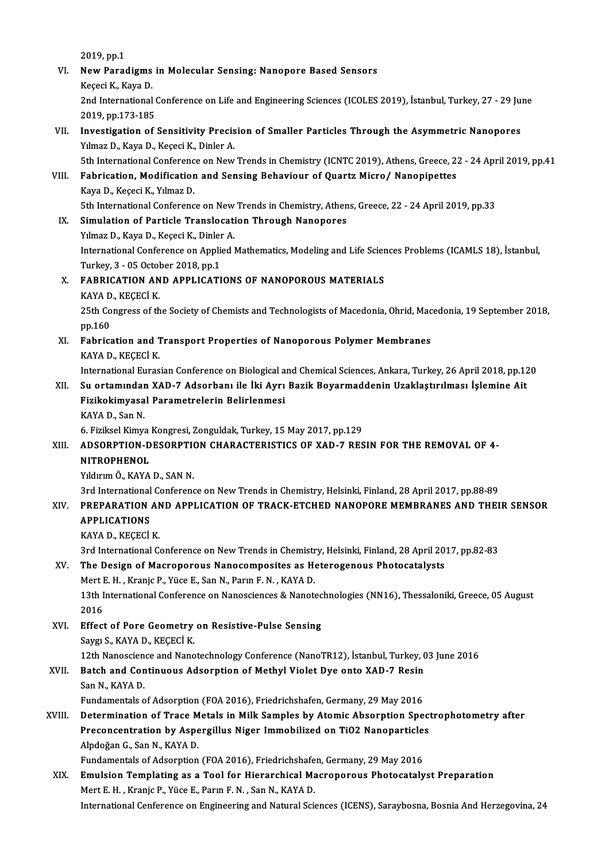2019,pp.1 2019, pp.1<br>VI. New Paradigms in Molecular Sensing: Nanopore Based Sensors<br>Kessei K. Kaya D 2019, pp.1<br>New Paradigms<br>Keçeci K., Kaya D.<br>2nd International New Paradigms in Molecular Sensing: Nanopore Based Sensors<br>Keçeci K., Kaya D.<br>2nd International Conference on Life and Engineering Sciences (ICOLES 2019), İstanbul, Turkey, 27 - 29 June<br>2010 nn 172 195 Keçeci K., Kaya D.<br>2nd International (<br>2019, pp.173-185<br>Investigation of 2nd International Conference on Life and Engineering Sciences (ICOLES 2019), İstanbul, Turkey, 27 - 29 Jurelly 2019, pp.173-185<br>VII. Investigation of Sensitivity Precision of Smaller Particles Through the Asymmetric Nanopo 2019, pp.173-185<br>Investigation of Sensitivity Precision of Smaller Particles Through the Asymmetric Nanopores<br>Yılmaz D., Kaya D., Keçeci K., Dinler A.<br>5th International Conference on New Trends in Chemistry (ICNTC 2019), A Investigation of Sensitivity Precision of Smaller Particles Through the Asymmetric Nanopores<br>Tilmaz D., Kaya D., Keçeci K., Dinler A.<br>5th International Conference on New Trends in Chemistry (ICNTC 2019), Athens, Greece, 22 Yılmaz D., Kaya D., Keçeci K., Dinler A.<br>5th International Conference on New Trends in Chemistry (ICNTC 2019), Athens, Greece, 2:<br>VIII. Fabrication, Modification and Sensing Behaviour of Quartz Micro/ Nanopipettes<br>Vara D. 5th International Conferenc<br>Fabrication, Modification<br>Kaya D., Keçeci K., Yılmaz D.<br>Eth International Conferenc Fabrication, Modification and Sensing Behaviour of Quartz Micro/ Nanopipettes<br>Kaya D., Keçeci K., Yılmaz D.<br>5th International Conference on New Trends in Chemistry, Athens, Greece, 22 - 24 April 2019, pp.33<br>Simulation of B Kaya D., Keçeci K., Yılmaz D.<br>5th International Conference on New Trends in Chemistry, Athen<br>IX. Simulation of Particle Translocation Through Nanopores<br>Yılmaz D., Kaya D., Keçeci K., Dinler A. 5th International Conference on New<br>Simulation of Particle Translocati<br>Yılmaz D., Kaya D., Keçeci K., Dinler A.<br>International Conference on Annlied I Simulation of Particle Translocation Through Nanopores<br>Yılmaz D., Kaya D., Keçeci K., Dinler A.<br>International Conference on Applied Mathematics, Modeling and Life Sciences Problems (ICAMLS 18), İstanbul,<br>Turkay 2, .05 Octo Yılmaz D., Kaya D., Keçeci K., Dinler<br>International Conference on Applic<br>Turkey, 3 - 05 October 2018, pp.1<br>EARBICATION AND APPLICATI International Conference on Applied Mathematics, Modeling and Life Scien<br>Turkey, 3 - 05 October 2018, pp.1<br>X. FABRICATION AND APPLICATIONS OF NANOPOROUS MATERIALS<br>VANA D. VECECI V. Turkey, 3 - 05 October 2018, pp.1<br>X. FABRICATION AND APPLICATIONS OF NANOPOROUS MATERIALS 25th Congress of the Society of Chemists and Technologists of Macedonia, Ohrid, Macedonia, 19 September 2018,<br>pp.160 KAYA D, KEÇECİ K 25th Congress of the Society of Chemists and Technologists of Macedonia, Ohrid, Mac<br>pp.160<br>XI. Fabrication and Transport Properties of Nanoporous Polymer Membranes<br>KAVA D. KECECI K pp.160<br>Fabrication and 1<br>KAYA D., KEÇECİ K.<br>International Euras KAYA D., KEÇECİ K.<br>International Eurasian Conference on Biological and Chemical Sciences, Ankara, Turkey, 26 April 2018, pp.120 KAYA D., KEÇECİ K.<br>International Eurasian Conference on Biological and Chemical Sciences, Ankara, Turkey, 26 April 2018, pp.12<br>XII. Su ortamından XAD-7 Adsorbanı ile İki Ayrı Bazik Boyarmaddenin Uzaklaştırılması İşlemi International Eurasian Conference on Biological a<br>Su ortamından XAD-7 Adsorbanı ile İki Ayrı<br>Fizikokimyasal Parametrelerin Belirlenmesi<br>KAVA D. San N Su ortamında<mark>ı</mark><br>Fizikokimyasa<br>KAYA D., San N.<br>6. Eizikool Kimya Fizikokimyasal Parametrelerin Belirlenmesi<br>KAYA D., San N.<br>6. Fiziksel Kimya Kongresi, Zonguldak, Turkey, 15 May 2017, pp.129<br>ADSORRION DESORRION CHARACTERISTICS OF YAD 7 RES KAYA D., San N.<br>6. Fiziksel Kimya Kongresi, Zonguldak, Turkey, 15 May 2017, pp.129<br>XIII. ADSORPTION-DESORPTION CHARACTERISTICS OF XAD-7 RESIN FOR THE REMOVAL OF 4-<br>NITROPHENOL 6. Fiziksel Kimya<br>ADSORPTION-D<br>NITROPHENOL<br><sup>Vilduum Ö.</sup> KAVA ADSORPTION-DESORPTION<br>NITROPHENOL<br>Yıldırım Ö., KAYA D., SAN N.<br><sup>2nd</sup> International Conferenc NI<mark>TROPHENOL</mark><br>Yıldırım Ö., KAYA D., SAN N.<br>3rd International Conference on New Trends in Chemistry, Helsinki, Finland, 28 April 2017, pp.88-89<br>RRERARATION,AND,ARRI LCATION OF TRACK ETCHED NANORORE MEMPRANES AND THEI Yıldırım Ö., KAYA D., SAN N.<br>3rd International Conference on New Trends in Chemistry, Helsinki, Finland, 28 April 2017, pp.88-89<br>XIV. PREPARATION AND APPLICATION OF TRACK-ETCHED NANOPORE MEMBRANES AND THEIR SENSOR<br>APPL 3rd International<br>PREPARATION<br>APPLICATIONS PREPARATION AN<br>APPLICATIONS<br>KAYA D., KEÇECİ K.<br>2nd International G 4PPLICATIONS<br>3rd International Conference on New Trends in Chemistry, Helsinki, Finland, 28 April 2017, pp.82-83<br>3rd International Conference on New Trends in Chemistry, Helsinki, Finland, 28 April 2017, pp.82-83 KAYA D., KEÇECİ K.<br>3rd International Conference on New Trends in Chemistry, Helsinki, Finland, 28 April 20<br>XV. The Design of Macroporous Nanocomposites as Heterogenous Photocatalysts<br>Mart E. H., Kapia B. Vüce E. San N. Bar 3rd International Conference on New Trends in Chemistr<br>The Design of Macroporous Nanocomposites as Ho<br>Mert E. H. , Kranjc P., Yüce E., San N., Parın F. N. , KAYA D.<br>12th International Conference on Nanoscionese & Nanot The Design of Macroporous Nanocomposites as Heterogenous Photocatalysts<br>Mert E. H. , Kranjc P., Yüce E., San N., Parın F. N. , KAYA D.<br>13th International Conference on Nanosciences & Nanotechnologies (NN16), Thessaloniki, Mert I<br>13th I<br>2016<br>Effect 13th International Conference on Nanosciences & Nanotec<br>2016<br>XVI. Effect of Pore Geometry on Resistive-Pulse Sensing<br>Savgu S. KAVA D. KECECLK 2016<br><mark>Effect of Pore Geometry</mark><br>Saygı S., KAYA D., KEÇECİ K.<br>12th Nanossianse and Nano Effect of Pore Geometry on Resistive-Pulse Sensing<br>Saygı S., KAYA D., KEÇECİ K.<br>12th Nanoscience and Nanotechnology Conference (NanoTR12), İstanbul, Turkey, 03 June 2016<br>Pateh and Continuous Adsorption of Methyl Violet Dye Saygı S., KAYA D., KEÇECİ K.<br>12th Nanoscience and Nanotechnology Conference (NanoTR12), İstanbul, Turkey, C<br>XVII. Batch and Continuous Adsorption of Methyl Violet Dye onto XAD-7 Resin<br>San N. KAYA D. 12th Nanoscien<br>Batch and Con<br>San N., KAYA D.<br>Eundementels e Batch and Continuous Adsorption of Methyl Violet Dye onto XAD-7 Resin<br>San N., KAYA D.<br>Fundamentals of Adsorption (FOA 2016), Friedrichshafen, Germany, 29 May 2016 San N., KAYA D.<br>Fundamentals of Adsorption (FOA 2016), Friedrichshafen, Germany, 29 May 2016<br>XVIII. Determination of Trace Metals in Milk Samples by Atomic Absorption Spectrophotometry after<br>Reserves trace in Aspersilly a Fundamentals of Adsorption (FOA 2016), Friedrichshafen, Germany, 29 May 2016<br>Determination of Trace Metals in Milk Samples by Atomic Absorption Spect<br>Preconcentration by Aspergillus Niger Immobilized on TiO2 Nanoparticles<br> **Determination of Trace M<br>Preconcentration by Aspe<br>Alpdoğan G., San N., KAYA D.**<br>Eundomentels of Adsention Preconcentration by Aspergillus Niger Immobilized on TiO2 Nanoparticles<br>Alpdoğan G., San N., KAYA D. XIX. Emulsion Templating as a Tool for Hierarchical Macroporous Photocatalyst Preparation<br>Mert E. H., Kranjc P., Yüce E., Parın F. N., San N., KAYA D. Fundamentals of Adsorption (FOA 2016), Friedrichshafen, Germany, 29 May 2016

International Cenference on Engineering and Natural Sciences (ICENS), Saraybosna, Bosnia And Herzegovina, 24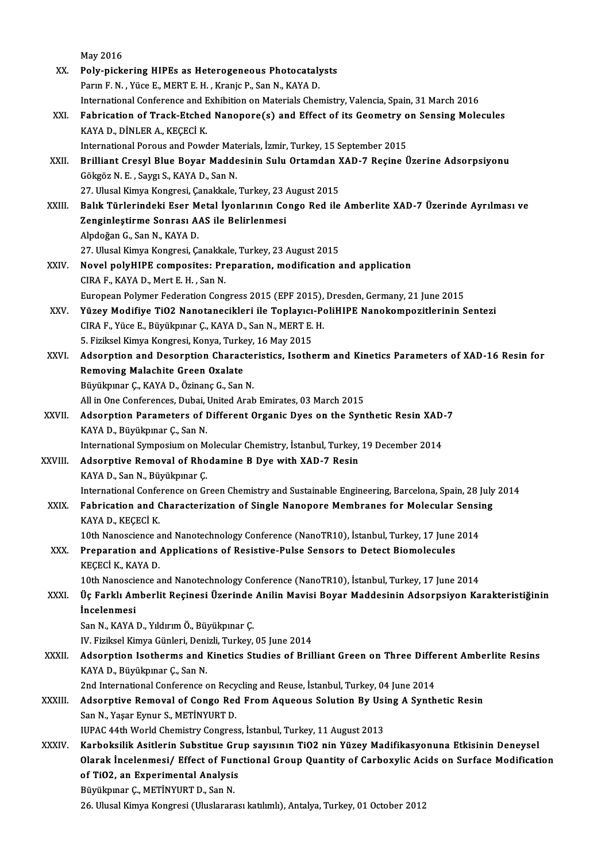|              | May 2016                                                                                                |
|--------------|---------------------------------------------------------------------------------------------------------|
| XX.          | Poly-pickering HIPEs as Heterogeneous Photocatalysts                                                    |
|              | Parın F. N., Yüce E., MERT E. H., Kranjc P., San N., KAYA D.                                            |
|              | International Conference and Exhibition on Materials Chemistry, Valencia, Spain, 31 March 2016          |
| XXI.         | Fabrication of Track-Etched Nanopore(s) and Effect of its Geometry on Sensing Molecules                 |
|              | KAYA D., DİNLER A., KEÇECİ K.                                                                           |
|              | International Porous and Powder Materials, İzmir, Turkey, 15 September 2015                             |
| XXII.        | Brilliant Cresyl Blue Boyar Maddesinin Sulu Ortamdan XAD-7 Reçine Üzerine Adsorpsiyonu                  |
|              | Gökgöz N. E., Saygı S., KAYA D., San N.                                                                 |
|              | 27. Ulusal Kimya Kongresi, Çanakkale, Turkey, 23 August 2015                                            |
| XXIII.       | Balık Türlerindeki Eser Metal İyonlarının Congo Red ile Amberlite XAD-7 Üzerinde Ayrılması ve           |
|              | Zenginleștirme Sonrası AAS ile Belirlenmesi                                                             |
|              | Alpdoğan G., San N., KAYA D.                                                                            |
|              | 27. Ulusal Kimya Kongresi, Çanakkale, Turkey, 23 August 2015                                            |
| XXIV.        | Novel polyHIPE composites: Preparation, modification and application                                    |
|              | CIRA F, KAYA D, Mert E.H., San N.                                                                       |
|              | European Polymer Federation Congress 2015 (EPF 2015), Dresden, Germany, 21 June 2015                    |
| XXV.         | Yüzey Modifiye TiO2 Nanotanecikleri ile Toplayıcı-PoliHIPE Nanokompozitlerinin Sentezi                  |
|              | CIRA F., Yüce E., Büyükpınar Ç., KAYA D., San N., MERT E. H.                                            |
|              | 5. Fiziksel Kimya Kongresi, Konya, Turkey, 16 May 2015                                                  |
| XXVI.        | Adsorption and Desorption Characteristics, Isotherm and Kinetics Parameters of XAD-16 Resin for         |
|              | Removing Malachite Green Oxalate                                                                        |
|              | Büyükpınar Ç., KAYA D., Özinanç G., San N.                                                              |
|              | All in One Conferences, Dubai, United Arab Emirates, 03 March 2015                                      |
| <b>XXVII</b> | Adsorption Parameters of Different Organic Dyes on the Synthetic Resin XAD-7                            |
|              | KAYA D., Büyükpınar Ç., San N.                                                                          |
|              | International Symposium on Molecular Chemistry, İstanbul, Turkey, 19 December 2014                      |
| XXVIII.      | Adsorptive Removal of Rhodamine B Dye with XAD-7 Resin                                                  |
|              | KAYA D., San N., Büyükpınar Ç.                                                                          |
|              | International Conference on Green Chemistry and Sustainable Engineering, Barcelona, Spain, 28 July 2014 |
| XXIX.        | Fabrication and Characterization of Single Nanopore Membranes for Molecular Sensing                     |
|              | KAYA D., KEÇECİ K                                                                                       |
|              | 10th Nanoscience and Nanotechnology Conference (NanoTR10), İstanbul, Turkey, 17 June 2014               |
| XXX.         | Preparation and Applications of Resistive-Pulse Sensors to Detect Biomolecules                          |
|              | KEÇECİ K, KAYA D.                                                                                       |
|              | 10th Nanoscience and Nanotechnology Conference (NanoTR10), İstanbul, Turkey, 17 June 2014               |
| XXXI.        | Üç Farklı Amberlit Reçinesi Üzerinde Anilin Mavisi Boyar Maddesinin Adsorpsiyon Karakteristiğinin       |
|              | <i>incelenmesi</i>                                                                                      |
|              | San N., KAYA D., Yıldırım Ö., Büyükpınar Ç.                                                             |
|              | IV. Fiziksel Kimya Günleri, Denizli, Turkey, 05 June 2014                                               |
| <b>XXXII</b> | Adsorption Isotherms and Kinetics Studies of Brilliant Green on Three Different Amberlite Resins        |
|              | KAYA D., Büyükpınar Ç., San N.                                                                          |
|              | 2nd International Conference on Recycling and Reuse, İstanbul, Turkey, 04 June 2014                     |
| XXXIII.      | Adsorptive Removal of Congo Red From Aqueous Solution By Using A Synthetic Resin                        |
|              | San N., Yaşar Eynur S., METİNYURT D.                                                                    |
|              | IUPAC 44th World Chemistry Congress, İstanbul, Turkey, 11 August 2013                                   |
| XXXIV.       | Karboksilik Asitlerin Substitue Grup sayısının TiO2 nin Yüzey Madifikasyonuna Etkisinin Deneysel        |
|              | Olarak İncelenmesi/ Effect of Functional Group Quantity of Carboxylic Acids on Surface Modification     |
|              | of TiO2, an Experimental Analysis                                                                       |
|              | Büyükpınar Ç., METİNYURT D., San N.                                                                     |
|              | 26. Ulusal Kimya Kongresi (Uluslararası katılımlı), Antalya, Turkey, 01 October 2012                    |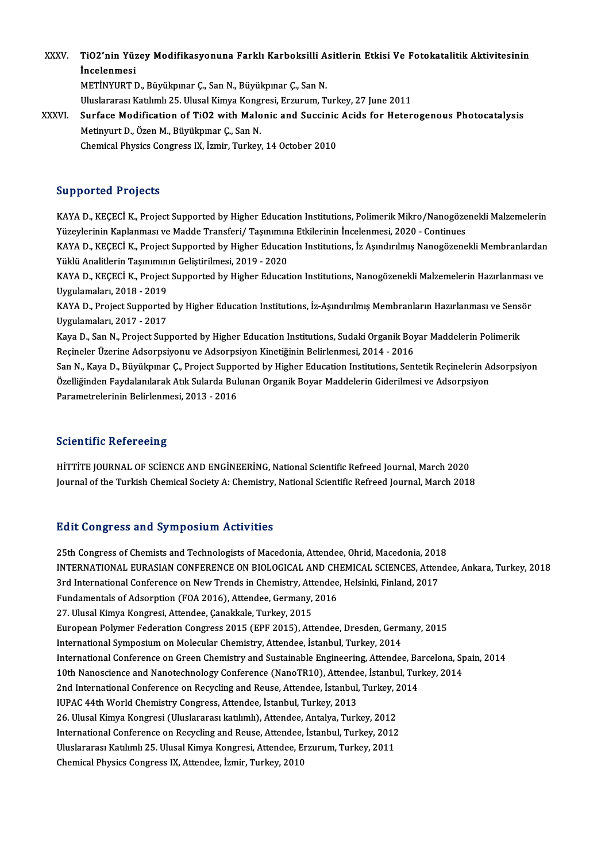XXXV. TiO2'nin Yüzey Modifikasyonuna Farklı Karboksilli Asitlerin Etkisi Ve Fotokatalitik Aktivitesinin<br>İnselenmesi TiO2'nin Yüz<br>İncelenmesi<br>METİNYUPTI TiO2'nin Yüzey Modifikasyonuna Farklı Karboksilli A<br>İncelenmesi<br>METİNYURT D., Büyükpınar Ç., San N., Büyükpınar Ç., San N.<br>Uluelararası Katılımlı 25 Ulusal Kimus Kangresi Frausum T. İncelenmesi<br>METİNYURT D., Büyükpınar Ç., San N., Büyükpınar Ç., San N.<br>Uluslararası Katılımlı 25. Ulusal Kimya Kongresi, Erzurum, Turkey, 27 June 2011<br>Surfase Modifisation of TiO2 with Molonis and Sussinis Aside for Hetor METİNYURT D., Büyükpınar Ç., San N., Büyükpınar Ç., San N.<br>Uluslararası Katılımlı 25. Ulusal Kimya Kongresi, Erzurum, Turkey, 27 June 2011<br>XXXVI. Surface Modification of TiO2 with Malonic and Succinic Acids for Heterogenou

Uluslararası Katılımlı 25. Ulusal Kimya Kongi<br>Surface Modification of TiO2 with Malo<br>Metinyurt D., Özen M., Büyükpınar Ç., San N.<br>Chamical Physics Congress IX İzmir Turkov Surface Modification of TiO2 with Malonic and Succinic<br>Metinyurt D., Özen M., Büyükpınar Ç., San N.<br>Chemical Physics Congress IX, İzmir, Turkey, 14 October 2010 Chemical Physics Congress IX, İzmir, Turkey, 14 October 2010<br>Supported Projects

Supported Projects<br>KAYA D., KEÇECİ K., Project Supported by Higher Education Institutions, Polimerik Mikro/Nanogözenekli Malzemelerin<br>Yüzeylerinin Kanlanması ve Madde Transfori ( Tesunmune Etkilerinin İnselanmasi, 2020, Co Yüzeylerinin Kaplanması<br>KAYA D., KEÇECİ K., Project Supported by Higher Education Institutions, Polimerik Mikro/Nanogöze<br>Yüzeylerinin Kaplanması ve Madde Transferi/ Taşınımına Etkilerinin İncelenmesi, 2020 - Continues<br>KAYA Yüzeylerinin Kaplanması ve Madde Transferi/ Taşınımına Etkilerinin İncelenmesi, 2020 - Continues

KAYA D., KEÇECİ K., Project Supported by Higher Education Institutions, İz Aşındırılmış Nanogözenekli Membranlardan<br>Yüklü Analitlerin Taşınımının Geliştirilmesi, 2019 - 2020 KAYA D., KEÇECİ K., Project Supported by Higher Education Institutions, İz Aşındırılmış Nanogözenekli Membranlardan<br>Yüklü Analitlerin Taşınımının Geliştirilmesi, 2019 - 2020<br>KAYA D., KEÇECİ K., Project Supported by Higher

Yüklü Analitlerin Taşınımını<br>KAYA D., KEÇECİ K., Project<br>Uygulamaları, 2018 - 2019<br>KAYA D. Broject Supported KAYA D., KEÇECİ K., Project Supported by Higher Education Institutions, Nanogözenekli Malzemelerin Hazırlanması<br>Uygulamaları, 2018 - 2019<br>KAYA D., Project Supported by Higher Education Institutions, İz-Aşındırılmış Membran

Uygulamaları, 2018 - 2019<br>KAYA D., Project Supported<br>Uygulamaları, 2017 - 2017<br>Kaya D. San N., Project Sup KAYA D., Project Supported by Higher Education Institutions, İz-Aşındırılmış Membranların Hazırlanması ve Sens<br>Uygulamaları, 2017 - 2017<br>Kaya D., San N., Project Supported by Higher Education Institutions, Sudaki Organik B

Uygulamaları, 2017 - 2017<br>Kaya D., San N., Project Supported by Higher Education Institutions, Sudaki Organik Boyar Maddelerin Polimerik<br>Reçineler Üzerine Adsorpsiyonu ve Adsorpsiyon Kinetiğinin Belirlenmesi, 2014 - 2016 Kaya D., San N., Project Supported by Higher Education Institutions, Sudaki Organik Boyar Maddelerin Polimerik<br>Reçineler Üzerine Adsorpsiyonu ve Adsorpsiyon Kinetiğinin Belirlenmesi, 2014 - 2016<br>San N., Kaya D., Büyükpınar

Reçineler Üzerine Adsorpsiyonu ve Adsorpsiyon Kinetiğinin Belirlenmesi, 2014 - 2016<br>San N., Kaya D., Büyükpınar Ç., Project Supported by Higher Education Institutions, Sentetik Reçinelerin Ao<br>Özelliğinden Faydalanılarak At Özelliğinden Faydalanılarak Atık Sularda Bulunan Organik Boyar Maddelerin Giderilmesi ve Adsorpsiyon<br>Parametrelerinin Belirlenmesi, 2013 - 2016

## **Scientific Refereeing**

HİTTİTE JOURNAL OF SCİENCE AND ENGİNEERİNG, National Scientific Refreed Journal, March 2020 Journal of the Turkish Chemical Society A: Chemistry, National Scientific Refreed Journal, March 2018

## **Edit Congress and Symposium Activities**

Edit Congress and Symposium Activities<br>25th Congress of Chemists and Technologists of Macedonia, Attendee, Ohrid, Macedonia, 2018<br>INTERNATIONAL FURASIAN CONFERENCE ON RIOLOCICAL AND CHEMICAL SCIENCES, Attorde INTERNATIONAL EURASIAN CONFERENCE ON BIOLOGICAL AND CHEMICAL SCIENCES, Attendee, Ankara, Turkey, 2018<br>3rd International Conference on New Trends in Chemistry, Attendee, Helsinki, Finland, 2017 25th Congress of Chemists and Technologists of Macedonia, Attendee, Ohrid, Macedonia, 201<br>INTERNATIONAL EURASIAN CONFERENCE ON BIOLOGICAL AND CHEMICAL SCIENCES, Atten<br>3rd International Conference on New Trends in Chemistry INTERNATIONAL EURASIAN CONFERENCE ON BIOLOGICAL AND CH<br>3rd International Conference on New Trends in Chemistry, Attendee<br>Fundamentals of Adsorption (FOA 2016), Attendee, Germany, 2016<br>27 Ulucal Kimua Kongresi, Attendee, Ga 3rd International Conference on New Trends in Chemistry, Att<br>Fundamentals of Adsorption (FOA 2016), Attendee, Germany,<br>27. Ulusal Kimya Kongresi, Attendee, Çanakkale, Turkey, 2015<br>European Bolymor Ecderation Congress 2015 27. Ulusal Kimya Kongresi, Attendee, Çanakkale, Turkey, 2015<br>European Polymer Federation Congress 2015 (EPF 2015), Attendee, Dresden, Germany, 2015 International Symposium on Molecular Chemistry, Attendee, İstanbul, Turkey, 2014 International Conference on Green Chemistry and Sustainable Engineering, Attendee, Barcelona, Spain, 2014 10th Nanoscience and Nanotechnology Conference (NanoTR10), Attendee, İstanbul, Turkey, 2014 International Conference on Green Chemistry and Sustainable Engineering, Attendee, Ba<br>10th Nanoscience and Nanotechnology Conference (NanoTR10), Attendee, İstanbul, Tur<br>2nd International Conference on Recycling and Reuse, 10th Nanoscience and Nanotechnology Conference (NanoTR10), Attende<br>2nd International Conference on Recycling and Reuse, Attendee, İstanbul,<br>IUPAC 44th World Chemistry Congress, Attendee, İstanbul, Turkey, 2013<br>26 Illusel K 2nd International Conference on Recycling and Reuse, Attendee, İstanbul, Turkey, 2<br>IUPAC 44th World Chemistry Congress, Attendee, İstanbul, Turkey, 2013<br>26. Ulusal Kimya Kongresi (Uluslararası katılımlı), Attendee, Antalya IUPAC 44th World Chemistry Congress, Attendee, İstanbul, Turkey, 2013<br>26. Ulusal Kimya Kongresi (Uluslararası katılımlı), Attendee, Antalya, Turkey, 2012<br>International Conference on Recycling and Reuse, Attendee, İstanbul, 26. Ulusal Kimya Kongresi (Uluslararası katılımlı), Attendee, Antalya, Turkey, 2012<br>International Conference on Recycling and Reuse, Attendee, İstanbul, Turkey, 2012<br>Uluslararası Katılımlı 25. Ulusal Kimya Kongresi, Attend International Conference on Recycling and Reuse, Attendee,<br>Uluslararası Katılımlı 25. Ulusal Kimya Kongresi, Attendee, E<br>Chemical Physics Congress IX, Attendee, İzmir, Turkey, 2010